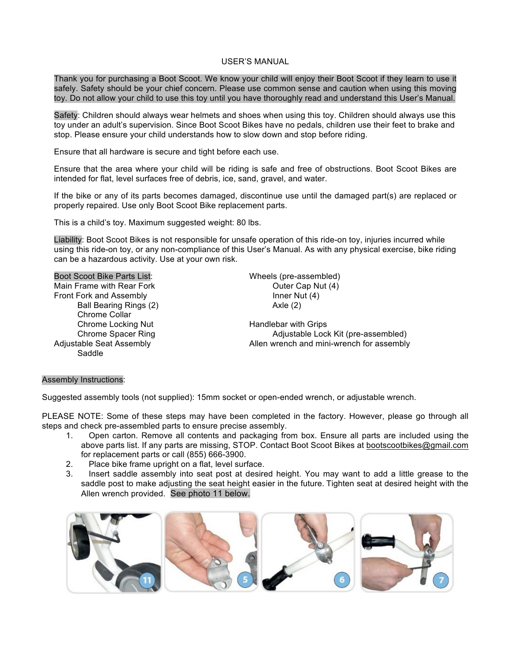## USER'S MANUAL

Thank you for purchasing a Boot Scoot. We know your child will enjoy their Boot Scoot if they learn to use it safely. Safety should be your chief concern. Please use common sense and caution when using this moving toy. Do not allow your child to use this toy until you have thoroughly read and understand this User's Manual.

Safety: Children should always wear helmets and shoes when using this toy. Children should always use this toy under an adult's supervision. Since Boot Scoot Bikes have no pedals, children use their feet to brake and stop. Please ensure your child understands how to slow down and stop before riding.

Ensure that all hardware is secure and tight before each use.

Ensure that the area where your child will be riding is safe and free of obstructions. Boot Scoot Bikes are intended for flat, level surfaces free of debris, ice, sand, gravel, and water.

If the bike or any of its parts becomes damaged, discontinue use until the damaged part(s) are replaced or properly repaired. Use only Boot Scoot Bike replacement parts.

This is a child's toy. Maximum suggested weight: 80 lbs.

Liability: Boot Scoot Bikes is not responsible for unsafe operation of this ride-on toy, injuries incurred while using this ride-on toy, or any non-compliance of this User's Manual. As with any physical exercise, bike riding can be a hazardous activity. Use at your own risk.

| <b>Boot Scoot Bike Parts List:</b>             | Wheels (pre-assembled)                    |
|------------------------------------------------|-------------------------------------------|
| Main Frame with Rear Fork                      | Outer Cap Nut (4)                         |
| Front Fork and Assembly                        | Inner Nut (4)                             |
| Ball Bearing Rings (2)<br><b>Chrome Collar</b> | Axle $(2)$                                |
| <b>Chrome Locking Nut</b>                      | Handlebar with Grips                      |
| <b>Chrome Spacer Ring</b>                      | Adjustable Lock Kit (pre-assembled)       |
| Adjustable Seat Assembly<br>Saddle             | Allen wrench and mini-wrench for assembly |

## Assembly Instructions:

Suggested assembly tools (not supplied): 15mm socket or open-ended wrench, or adjustable wrench.

PLEASE NOTE: Some of these steps may have been completed in the factory. However, please go through all steps and check pre-assembled parts to ensure precise assembly.

- 1. Open carton. Remove all contents and packaging from box. Ensure all parts are included using the above parts list. If any parts are missing, STOP. Contact Boot Scoot Bikes at bootscootbikes@gmail.com for replacement parts or call (855) 666-3900.
- 2. Place bike frame upright on a flat, level surface.
- 3. Insert saddle assembly into seat post at desired height. You may want to add a little grease to the saddle post to make adjusting the seat height easier in the future. Tighten seat at desired height with the Allen wrench provided. See photo 11 below.